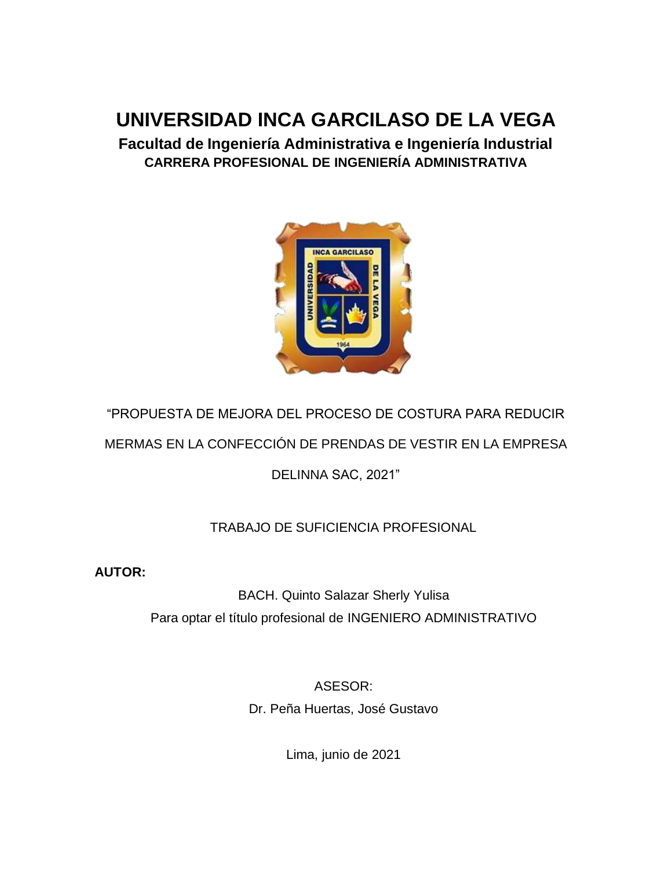## **UNIVERSIDAD INCA GARCILASO DE LA VEGA**

**Facultad de Ingeniería Administrativa e Ingeniería Industrial CARRERA PROFESIONAL DE INGENIERÍA ADMINISTRATIVA**



# "PROPUESTA DE MEJORA DEL PROCESO DE COSTURA PARA REDUCIR

MERMAS EN LA CONFECCIÓN DE PRENDAS DE VESTIR EN LA EMPRESA

DELINNA SAC, 2021"

#### TRABAJO DE SUFICIENCIA PROFESIONAL

**AUTOR:**

BACH. Quinto Salazar Sherly Yulisa Para optar el título profesional de INGENIERO ADMINISTRATIVO

> ASESOR: Dr. Peña Huertas, José Gustavo

> > Lima, junio de 2021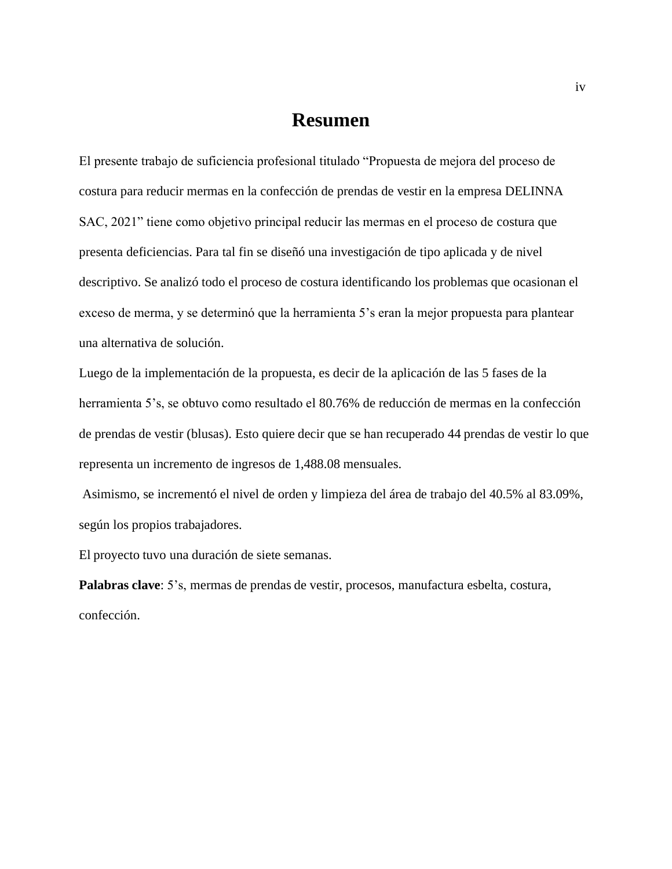#### **Resumen**

El presente trabajo de suficiencia profesional titulado "Propuesta de mejora del proceso de costura para reducir mermas en la confección de prendas de vestir en la empresa DELINNA SAC, 2021" tiene como objetivo principal reducir las mermas en el proceso de costura que presenta deficiencias. Para tal fin se diseñó una investigación de tipo aplicada y de nivel descriptivo. Se analizó todo el proceso de costura identificando los problemas que ocasionan el exceso de merma, y se determinó que la herramienta 5's eran la mejor propuesta para plantear una alternativa de solución.

Luego de la implementación de la propuesta, es decir de la aplicación de las 5 fases de la herramienta 5's, se obtuvo como resultado el 80.76% de reducción de mermas en la confección de prendas de vestir (blusas). Esto quiere decir que se han recuperado 44 prendas de vestir lo que representa un incremento de ingresos de 1,488.08 mensuales.

Asimismo, se incrementó el nivel de orden y limpieza del área de trabajo del 40.5% al 83.09%, según los propios trabajadores.

El proyecto tuvo una duración de siete semanas.

**Palabras clave**: 5's, mermas de prendas de vestir, procesos, manufactura esbelta, costura, confección.